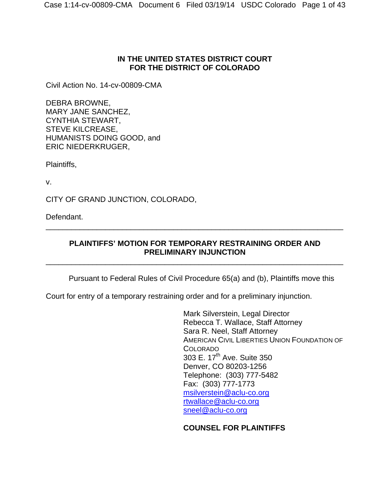# **IN THE UNITED STATES DISTRICT COURT FOR THE DISTRICT OF COLORADO**

Civil Action No. 14-cv-00809-CMA

DEBRA BROWNE, MARY JANE SANCHEZ, CYNTHIA STEWART, STEVE KILCREASE, HUMANISTS DOING GOOD, and ERIC NIEDERKRUGER,

Plaintiffs,

v.

CITY OF GRAND JUNCTION, COLORADO,

Defendant.

# **PLAINTIFFS' MOTION FOR TEMPORARY RESTRAINING ORDER AND PRELIMINARY INJUNCTION**

\_\_\_\_\_\_\_\_\_\_\_\_\_\_\_\_\_\_\_\_\_\_\_\_\_\_\_\_\_\_\_\_\_\_\_\_\_\_\_\_\_\_\_\_\_\_\_\_\_\_\_\_\_\_\_\_\_\_\_\_\_\_\_\_\_\_\_\_\_\_

\_\_\_\_\_\_\_\_\_\_\_\_\_\_\_\_\_\_\_\_\_\_\_\_\_\_\_\_\_\_\_\_\_\_\_\_\_\_\_\_\_\_\_\_\_\_\_\_\_\_\_\_\_\_\_\_\_\_\_\_\_\_\_\_\_\_\_\_\_\_

Pursuant to Federal Rules of Civil Procedure 65(a) and (b), Plaintiffs move this

Court for entry of a temporary restraining order and for a preliminary injunction.

Mark Silverstein, Legal Director Rebecca T. Wallace, Staff Attorney Sara R. Neel, Staff Attorney AMERICAN CIVIL LIBERTIES UNION FOUNDATION OF COLORADO 303 E. 17<sup>th</sup> Ave. Suite 350 Denver, CO 80203-1256 Telephone: (303) 777-5482 Fax: (303) 777-1773 msilverstein@aclu-co.org rtwallace@aclu-co.org sneel@aclu-co.org

# **COUNSEL FOR PLAINTIFFS**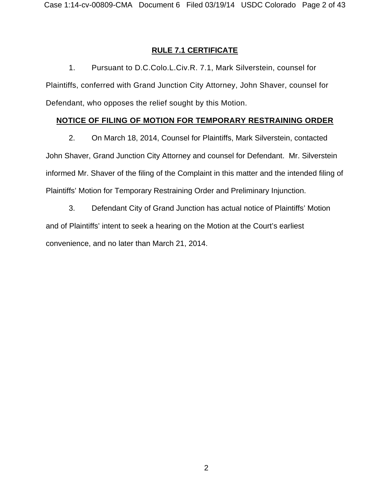## **RULE 7.1 CERTIFICATE**

1. Pursuant to D.C.Colo.L.Civ.R. 7.1, Mark Silverstein, counsel for Plaintiffs, conferred with Grand Junction City Attorney, John Shaver, counsel for Defendant, who opposes the relief sought by this Motion.

## **NOTICE OF FILING OF MOTION FOR TEMPORARY RESTRAINING ORDER**

2. On March 18, 2014, Counsel for Plaintiffs, Mark Silverstein, contacted John Shaver, Grand Junction City Attorney and counsel for Defendant. Mr. Silverstein informed Mr. Shaver of the filing of the Complaint in this matter and the intended filing of Plaintiffs' Motion for Temporary Restraining Order and Preliminary Injunction.

3. Defendant City of Grand Junction has actual notice of Plaintiffs' Motion and of Plaintiffs' intent to seek a hearing on the Motion at the Court's earliest convenience, and no later than March 21, 2014.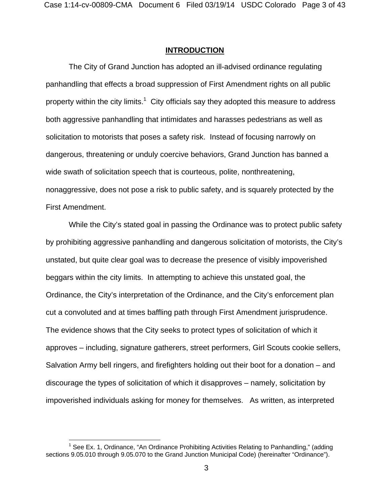### **INTRODUCTION**

The City of Grand Junction has adopted an ill-advised ordinance regulating panhandling that effects a broad suppression of First Amendment rights on all public property within the city limits.<sup>1</sup> City officials say they adopted this measure to address both aggressive panhandling that intimidates and harasses pedestrians as well as solicitation to motorists that poses a safety risk. Instead of focusing narrowly on dangerous, threatening or unduly coercive behaviors, Grand Junction has banned a wide swath of solicitation speech that is courteous, polite, nonthreatening, nonaggressive, does not pose a risk to public safety, and is squarely protected by the First Amendment.

While the City's stated goal in passing the Ordinance was to protect public safety by prohibiting aggressive panhandling and dangerous solicitation of motorists, the City's unstated, but quite clear goal was to decrease the presence of visibly impoverished beggars within the city limits. In attempting to achieve this unstated goal, the Ordinance, the City's interpretation of the Ordinance, and the City's enforcement plan cut a convoluted and at times baffling path through First Amendment jurisprudence. The evidence shows that the City seeks to protect types of solicitation of which it approves – including, signature gatherers, street performers, Girl Scouts cookie sellers, Salvation Army bell ringers, and firefighters holding out their boot for a donation – and discourage the types of solicitation of which it disapproves – namely, solicitation by impoverished individuals asking for money for themselves. As written, as interpreted

<sup>————————————————————&</sup>lt;br><sup>1</sup> See Ex. 1, Ordinance, "An Ordinance Prohibiting Activities Relating to Panhandling," (adding sections 9.05.010 through 9.05.070 to the Grand Junction Municipal Code) (hereinafter "Ordinance").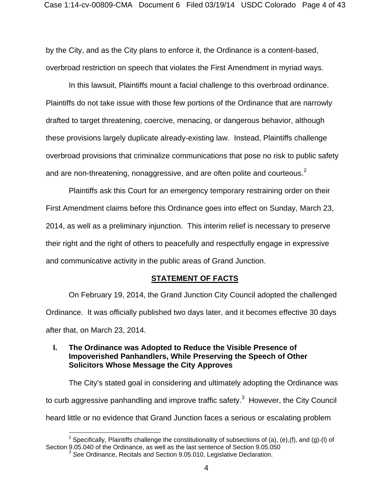by the City, and as the City plans to enforce it, the Ordinance is a content-based, overbroad restriction on speech that violates the First Amendment in myriad ways.

In this lawsuit, Plaintiffs mount a facial challenge to this overbroad ordinance. Plaintiffs do not take issue with those few portions of the Ordinance that are narrowly drafted to target threatening, coercive, menacing, or dangerous behavior, although these provisions largely duplicate already-existing law. Instead, Plaintiffs challenge overbroad provisions that criminalize communications that pose no risk to public safety and are non-threatening, nonaggressive, and are often polite and courteous. $2^2$ 

Plaintiffs ask this Court for an emergency temporary restraining order on their First Amendment claims before this Ordinance goes into effect on Sunday, March 23, 2014, as well as a preliminary injunction. This interim relief is necessary to preserve their right and the right of others to peacefully and respectfully engage in expressive and communicative activity in the public areas of Grand Junction.

### **STATEMENT OF FACTS**

On February 19, 2014, the Grand Junction City Council adopted the challenged Ordinance. It was officially published two days later, and it becomes effective 30 days after that, on March 23, 2014.

## **I. The Ordinance was Adopted to Reduce the Visible Presence of Impoverished Panhandlers, While Preserving the Speech of Other Solicitors Whose Message the City Approves**

The City's stated goal in considering and ultimately adopting the Ordinance was to curb aggressive panhandling and improve traffic safety.<sup>3</sup> However, the City Council heard little or no evidence that Grand Junction faces a serious or escalating problem

 $\overline{a}$ <sup>2</sup> Specifically, Plaintiffs challenge the constitutionality of subsections of (a), (e),(f), and (g)-(l) of Section 9.05.040 of the Ordinance, as well as the last sentence of Section 9.05.050

<sup>3</sup> *See* Ordinance, Recitals and Section 9.05.010, Legislative Declaration.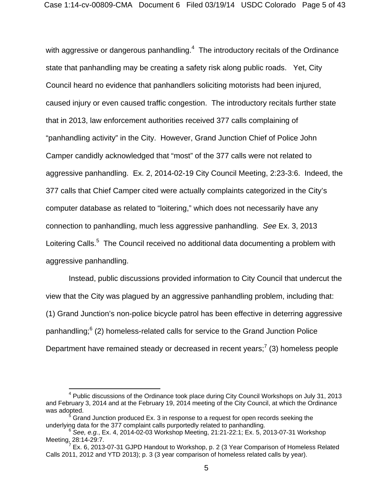with aggressive or dangerous panhandling. $4$  The introductory recitals of the Ordinance state that panhandling may be creating a safety risk along public roads. Yet, City Council heard no evidence that panhandlers soliciting motorists had been injured, caused injury or even caused traffic congestion. The introductory recitals further state that in 2013, law enforcement authorities received 377 calls complaining of "panhandling activity" in the City. However, Grand Junction Chief of Police John Camper candidly acknowledged that "most" of the 377 calls were not related to aggressive panhandling. Ex. 2, 2014-02-19 City Council Meeting, 2:23-3:6.Indeed, the 377 calls that Chief Camper cited were actually complaints categorized in the City's computer database as related to "loitering," which does not necessarily have any connection to panhandling, much less aggressive panhandling. *See* Ex. 3, 2013 Loitering Calls.<sup>5</sup> The Council received no additional data documenting a problem with aggressive panhandling.

Instead, public discussions provided information to City Council that undercut the view that the City was plagued by an aggressive panhandling problem, including that: (1) Grand Junction's non-police bicycle patrol has been effective in deterring aggressive panhandling;<sup>6</sup> (2) homeless-related calls for service to the Grand Junction Police Department have remained steady or decreased in recent years;<sup>7</sup> (3) homeless people

 $\overline{a}$ 

<sup>&</sup>lt;sup>4</sup> Public discussions of the Ordinance took place during City Council Workshops on July 31, 2013 and February 3, 2014 and at the February 19, 2014 meeting of the City Council, at which the Ordinance was adopted.

 $<sup>5</sup>$  Grand Junction produced Ex. 3 in response to a request for open records seeking the</sup> underlying data for the 377 complaint calls purportedly related to panhandling. 6 *See, e.g.*, Ex. 4, 2014-02-03 Workshop Meeting, 21:21-22:1; Ex. 5, 2013-07-31 Workshop

 $Meeting_{12}$  28:14-29:7.

Ex. 6, 2013-07-31 GJPD Handout to Workshop, p. 2 (3 Year Comparison of Homeless Related Calls 2011, 2012 and YTD 2013); p. 3 (3 year comparison of homeless related calls by year).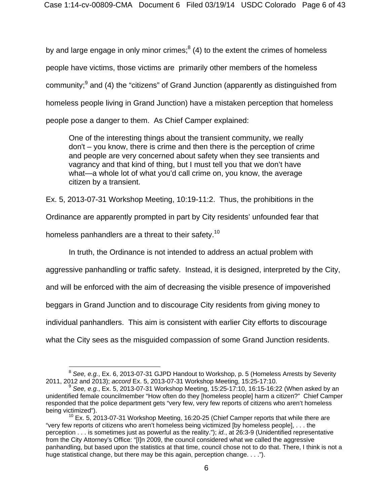by and large engage in only minor crimes; $^8$  (4) to the extent the crimes of homeless people have victims, those victims are primarily other members of the homeless community;<sup>9</sup> and (4) the "citizens" of Grand Junction (apparently as distinguished from homeless people living in Grand Junction) have a mistaken perception that homeless people pose a danger to them. As Chief Camper explained:

One of the interesting things about the transient community, we really don't – you know, there is crime and then there is the perception of crime and people are very concerned about safety when they see transients and vagrancy and that kind of thing, but I must tell you that we don't have what—a whole lot of what you'd call crime on, you know, the average citizen by a transient.

Ex. 5, 2013-07-31 Workshop Meeting, 10:19-11:2. Thus, the prohibitions in the

Ordinance are apparently prompted in part by City residents' unfounded fear that

homeless panhandlers are a threat to their safety.<sup>10</sup>

 $\overline{a}$ 

In truth, the Ordinance is not intended to address an actual problem with

aggressive panhandling or traffic safety. Instead, it is designed, interpreted by the City,

and will be enforced with the aim of decreasing the visible presence of impoverished

beggars in Grand Junction and to discourage City residents from giving money to

individual panhandlers. This aim is consistent with earlier City efforts to discourage

what the City sees as the misguided compassion of some Grand Junction residents.

<sup>&</sup>lt;sup>8</sup> See, e.g., Ex. 6, 2013-07-31 GJPD Handout to Workshop, p. 5 (Homeless Arrests by Severity 2011, 2012 and 2013); accord Ex. 5, 2013-07-31 Workshop Meeting, 15:25-17:10.

<sup>2011, 2012</sup> and 2013); *accord* Ex. 5, 2013-07-31 Workshop Meeting, 15:25-17:10. 9 *See, e.g.*, Ex. 5, 2013-07-31 Workshop Meeting, 15:25-17:10, 16:15-16:22 (When asked by an unidentified female councilmember "How often do they [homeless people] harm a citizen?" Chief Camper responded that the police department gets "very few, very few reports of citizens who aren't homeless being victimized").<br><sup>10</sup> Ex. 5, 2013-07-31 Workshop Meeting, 16:20-25 (Chief Camper reports that while there are

<sup>&</sup>quot;very few reports of citizens who aren't homeless being victimized [by homeless people], . . . the perception . . . is sometimes just as powerful as the reality."); *id.*, at 26:3-9 (Unidentified representative from the City Attorney's Office: "[I]n 2009, the council considered what we called the aggressive panhandling, but based upon the statistics at that time, council chose not to do that. There, I think is not a huge statistical change, but there may be this again, perception change. . . .").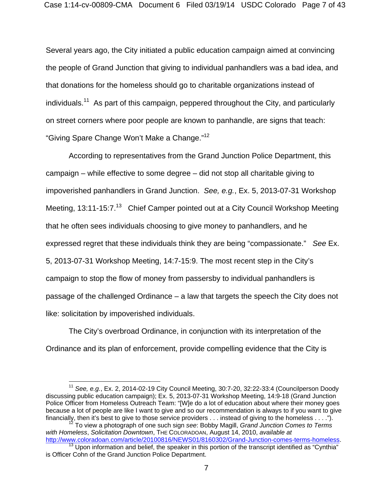Several years ago, the City initiated a public education campaign aimed at convincing the people of Grand Junction that giving to individual panhandlers was a bad idea, and that donations for the homeless should go to charitable organizations instead of individuals.<sup>11</sup> As part of this campaign, peppered throughout the City, and particularly on street corners where poor people are known to panhandle, are signs that teach: "Giving Spare Change Won't Make a Change."12

According to representatives from the Grand Junction Police Department, this campaign – while effective to some degree – did not stop all charitable giving to impoverished panhandlers in Grand Junction. *See, e.g.*, Ex. 5, 2013-07-31 Workshop Meeting, 13:11-15:7.<sup>13</sup> Chief Camper pointed out at a City Council Workshop Meeting that he often sees individuals choosing to give money to panhandlers, and he expressed regret that these individuals think they are being "compassionate." *See* Ex. 5, 2013-07-31 Workshop Meeting, 14:7-15:9. The most recent step in the City's campaign to stop the flow of money from passersby to individual panhandlers is passage of the challenged Ordinance – a law that targets the speech the City does not like: solicitation by impoverished individuals.

The City's overbroad Ordinance, in conjunction with its interpretation of the Ordinance and its plan of enforcement, provide compelling evidence that the City is

<sup>1</sup> <sup>11</sup> *See, e.g.*, Ex. 2, 2014-02-19 City Council Meeting, 30:7-20, 32:22-33:4 (Councilperson Doody discussing public education campaign); Ex. 5, 2013-07-31 Workshop Meeting, 14:9-18 (Grand Junction Police Officer from Homeless Outreach Team: "[W]e do a lot of education about where their money goes because a lot of people are like I want to give and so our recommendation is always to if you want to give financially, then it's best to give to those service providers . . . instead of giving to the homeless . . . .").

<sup>&</sup>lt;sup>12</sup> To view a photograph of one such sign see: Bobby Magill, *Grand Junction Comes to Terms* with Homeless, Solicitation Downtown, The CoLoraboan, August 14, 2010, *available at http://www.coloradoan.com/article/20100816/NEWS01/8160302/Grand-Junction-comes-terms-homeless.* 

http://www.coloradoan.com/article/20100816/NEWS01/8160302/Grand-Junction-comes-terms-homeless. 13 Upon information and belief, the speaker in this portion of the transcript identified as "Cynthia" is Officer Cohn of the Grand Junction Police Department.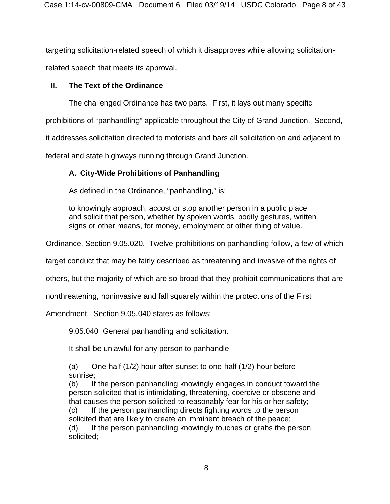targeting solicitation-related speech of which it disapproves while allowing solicitationrelated speech that meets its approval.

# **II. The Text of the Ordinance**

The challenged Ordinance has two parts. First, it lays out many specific

prohibitions of "panhandling" applicable throughout the City of Grand Junction. Second,

it addresses solicitation directed to motorists and bars all solicitation on and adjacent to

federal and state highways running through Grand Junction.

# **A. City-Wide Prohibitions of Panhandling**

As defined in the Ordinance, "panhandling," is:

to knowingly approach, accost or stop another person in a public place and solicit that person, whether by spoken words, bodily gestures, written signs or other means, for money, employment or other thing of value.

Ordinance, Section 9.05.020. Twelve prohibitions on panhandling follow, a few of which

target conduct that may be fairly described as threatening and invasive of the rights of

others, but the majority of which are so broad that they prohibit communications that are

nonthreatening, noninvasive and fall squarely within the protections of the First

Amendment. Section 9.05.040 states as follows:

9.05.040 General panhandling and solicitation.

It shall be unlawful for any person to panhandle

(a) One-half  $(1/2)$  hour after sunset to one-half  $(1/2)$  hour before sunrise;

(b) If the person panhandling knowingly engages in conduct toward the person solicited that is intimidating, threatening, coercive or obscene and that causes the person solicited to reasonably fear for his or her safety; (c) If the person panhandling directs fighting words to the person

solicited that are likely to create an imminent breach of the peace;

(d) If the person panhandling knowingly touches or grabs the person solicited;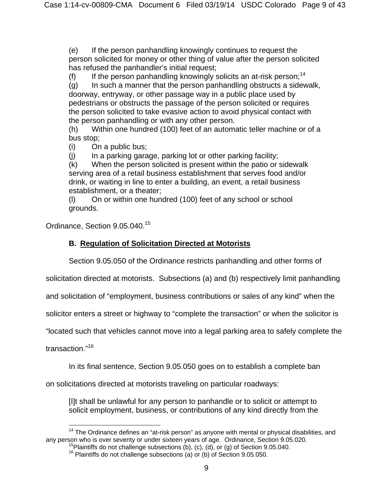(e) If the person panhandling knowingly continues to request the person solicited for money or other thing of value after the person solicited has refused the panhandler's initial request;

(f) If the person panhandling knowingly solicits an at-risk person;<sup>14</sup>

(g) In such a manner that the person panhandling obstructs a sidewalk, doorway, entryway, or other passage way in a public place used by pedestrians or obstructs the passage of the person solicited or requires the person solicited to take evasive action to avoid physical contact with the person panhandling or with any other person.

(h) Within one hundred (100) feet of an automatic teller machine or of a bus stop;

(i) On a public bus;

 $(i)$  In a parking garage, parking lot or other parking facility;

(k) When the person solicited is present within the patio or sidewalk serving area of a retail business establishment that serves food and/or drink, or waiting in line to enter a building, an event, a retail business establishment, or a theater;

(l) On or within one hundred (100) feet of any school or school grounds.

Ordinance, Section 9.05.040.<sup>15</sup>

# **B. Regulation of Solicitation Directed at Motorists**

Section 9.05.050 of the Ordinance restricts panhandling and other forms of

solicitation directed at motorists. Subsections (a) and (b) respectively limit panhandling

and solicitation of "employment, business contributions or sales of any kind" when the

solicitor enters a street or highway to "complete the transaction" or when the solicitor is

"located such that vehicles cannot move into a legal parking area to safely complete the

transaction."16

In its final sentence, Section 9.05.050 goes on to establish a complete ban

on solicitations directed at motorists traveling on particular roadways:

[I]t shall be unlawful for any person to panhandle or to solicit or attempt to solicit employment, business, or contributions of any kind directly from the

 $\overline{a}$ <sup>14</sup> The Ordinance defines an "at-risk person" as anyone with mental or physical disabilities, and any person who is over seventy or under sixteen years of age. Ordinance, Section 9.05.020.

<sup>&</sup>lt;sup>15</sup>Plaintiffs do not challenge subsections (b), (c), (d), or (g) of Section 9.05.040.<br><sup>16</sup> Plaintiffs do not challenge subsections (a) or (b) of Section 9.05.050.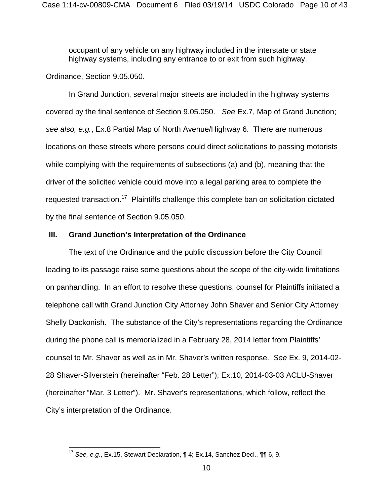occupant of any vehicle on any highway included in the interstate or state highway systems, including any entrance to or exit from such highway.

Ordinance, Section 9.05.050.

 $\overline{a}$ 

 In Grand Junction, several major streets are included in the highway systems covered by the final sentence of Section 9.05.050. *See* Ex.7, Map of Grand Junction; *see also, e.g.*, Ex.8 Partial Map of North Avenue/Highway 6. There are numerous locations on these streets where persons could direct solicitations to passing motorists while complying with the requirements of subsections (a) and (b), meaning that the driver of the solicited vehicle could move into a legal parking area to complete the requested transaction.<sup>17</sup> Plaintiffs challenge this complete ban on solicitation dictated by the final sentence of Section 9.05.050.

### **III. Grand Junction's Interpretation of the Ordinance**

The text of the Ordinance and the public discussion before the City Council leading to its passage raise some questions about the scope of the city-wide limitations on panhandling. In an effort to resolve these questions, counsel for Plaintiffs initiated a telephone call with Grand Junction City Attorney John Shaver and Senior City Attorney Shelly Dackonish. The substance of the City's representations regarding the Ordinance during the phone call is memorialized in a February 28, 2014 letter from Plaintiffs' counsel to Mr. Shaver as well as in Mr. Shaver's written response. *See* Ex. 9, 2014-02- 28 Shaver-Silverstein (hereinafter "Feb. 28 Letter"); Ex.10, 2014-03-03 ACLU-Shaver (hereinafter "Mar. 3 Letter"). Mr. Shaver's representations, which follow, reflect the City's interpretation of the Ordinance.

<sup>17</sup> *See, e.g.*, Ex.15, Stewart Declaration, ¶ 4; Ex.14, Sanchez Decl., ¶¶ 6, 9.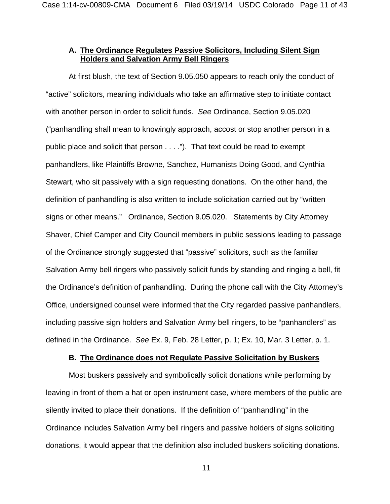## **A. The Ordinance Regulates Passive Solicitors, Including Silent Sign Holders and Salvation Army Bell Ringers**

At first blush, the text of Section 9.05.050 appears to reach only the conduct of "active" solicitors, meaning individuals who take an affirmative step to initiate contact with another person in order to solicit funds. *See* Ordinance, Section 9.05.020 ("panhandling shall mean to knowingly approach, accost or stop another person in a public place and solicit that person . . . ."). That text could be read to exempt panhandlers, like Plaintiffs Browne, Sanchez, Humanists Doing Good, and Cynthia Stewart, who sit passively with a sign requesting donations. On the other hand, the definition of panhandling is also written to include solicitation carried out by "written signs or other means." Ordinance, Section 9.05.020. Statements by City Attorney Shaver, Chief Camper and City Council members in public sessions leading to passage of the Ordinance strongly suggested that "passive" solicitors, such as the familiar Salvation Army bell ringers who passively solicit funds by standing and ringing a bell, fit the Ordinance's definition of panhandling. During the phone call with the City Attorney's Office, undersigned counsel were informed that the City regarded passive panhandlers, including passive sign holders and Salvation Army bell ringers, to be "panhandlers" as defined in the Ordinance. *See* Ex. 9, Feb. 28 Letter, p. 1; Ex. 10, Mar. 3 Letter, p. 1.

### **B. The Ordinance does not Regulate Passive Solicitation by Buskers**

 Most buskers passively and symbolically solicit donations while performing by leaving in front of them a hat or open instrument case, where members of the public are silently invited to place their donations. If the definition of "panhandling" in the Ordinance includes Salvation Army bell ringers and passive holders of signs soliciting donations, it would appear that the definition also included buskers soliciting donations.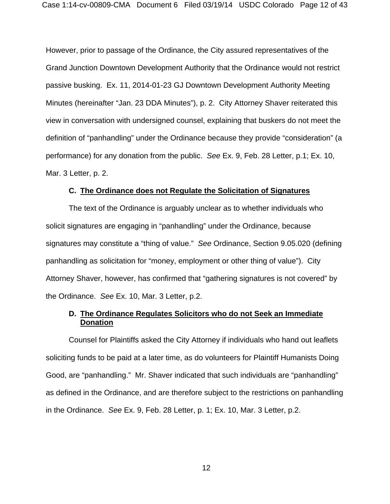However, prior to passage of the Ordinance, the City assured representatives of the Grand Junction Downtown Development Authority that the Ordinance would not restrict passive busking. Ex. 11, 2014-01-23 GJ Downtown Development Authority Meeting Minutes (hereinafter "Jan. 23 DDA Minutes"), p. 2. City Attorney Shaver reiterated this view in conversation with undersigned counsel, explaining that buskers do not meet the definition of "panhandling" under the Ordinance because they provide "consideration" (a performance) for any donation from the public. *See* Ex. 9, Feb. 28 Letter, p.1; Ex. 10, Mar. 3 Letter, p. 2.

#### **C. The Ordinance does not Regulate the Solicitation of Signatures**

The text of the Ordinance is arguably unclear as to whether individuals who solicit signatures are engaging in "panhandling" under the Ordinance, because signatures may constitute a "thing of value." *See* Ordinance, Section 9.05.020 (defining panhandling as solicitation for "money, employment or other thing of value"). City Attorney Shaver, however, has confirmed that "gathering signatures is not covered" by the Ordinance. *See* Ex. 10, Mar. 3 Letter, p.2.

## **D. The Ordinance Regulates Solicitors who do not Seek an Immediate Donation**

Counsel for Plaintiffs asked the City Attorney if individuals who hand out leaflets soliciting funds to be paid at a later time, as do volunteers for Plaintiff Humanists Doing Good, are "panhandling." Mr. Shaver indicated that such individuals are "panhandling" as defined in the Ordinance, and are therefore subject to the restrictions on panhandling in the Ordinance. *See* Ex. 9, Feb. 28 Letter, p. 1; Ex. 10, Mar. 3 Letter, p.2.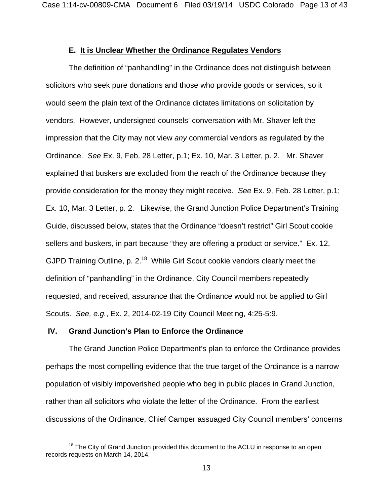### **E. It is Unclear Whether the Ordinance Regulates Vendors**

The definition of "panhandling" in the Ordinance does not distinguish between solicitors who seek pure donations and those who provide goods or services, so it would seem the plain text of the Ordinance dictates limitations on solicitation by vendors. However, undersigned counsels' conversation with Mr. Shaver left the impression that the City may not view *any* commercial vendors as regulated by the Ordinance. *See* Ex. 9, Feb. 28 Letter, p.1; Ex. 10, Mar. 3 Letter, p. 2. Mr. Shaver explained that buskers are excluded from the reach of the Ordinance because they provide consideration for the money they might receive. *See* Ex. 9, Feb. 28 Letter, p.1; Ex. 10, Mar. 3 Letter, p. 2. Likewise, the Grand Junction Police Department's Training Guide, discussed below, states that the Ordinance "doesn't restrict" Girl Scout cookie sellers and buskers, in part because "they are offering a product or service." Ex. 12, GJPD Training Outline, p. 2.<sup>18</sup> While Girl Scout cookie vendors clearly meet the definition of "panhandling" in the Ordinance, City Council members repeatedly requested, and received, assurance that the Ordinance would not be applied to Girl Scouts. *See, e.g.*, Ex. 2, 2014-02-19 City Council Meeting, 4:25-5:9.

#### **IV. Grand Junction's Plan to Enforce the Ordinance**

 $\overline{a}$ 

The Grand Junction Police Department's plan to enforce the Ordinance provides perhaps the most compelling evidence that the true target of the Ordinance is a narrow population of visibly impoverished people who beg in public places in Grand Junction, rather than all solicitors who violate the letter of the Ordinance. From the earliest discussions of the Ordinance, Chief Camper assuaged City Council members' concerns

 $18$  The City of Grand Junction provided this document to the ACLU in response to an open records requests on March 14, 2014.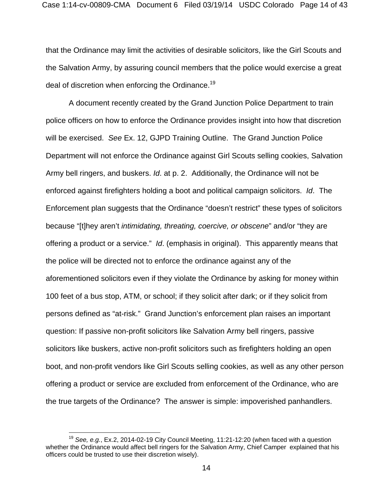that the Ordinance may limit the activities of desirable solicitors, like the Girl Scouts and the Salvation Army, by assuring council members that the police would exercise a great deal of discretion when enforcing the Ordinance.<sup>19</sup>

A document recently created by the Grand Junction Police Department to train police officers on how to enforce the Ordinance provides insight into how that discretion will be exercised. *See* Ex. 12, GJPD Training Outline. The Grand Junction Police Department will not enforce the Ordinance against Girl Scouts selling cookies, Salvation Army bell ringers, and buskers. *Id*. at p. 2. Additionally, the Ordinance will not be enforced against firefighters holding a boot and political campaign solicitors. *Id*. The Enforcement plan suggests that the Ordinance "doesn't restrict" these types of solicitors because "[t]hey aren't *intimidating, threating, coercive, or obscene*" and/or "they are offering a product or a service." *Id*. (emphasis in original). This apparently means that the police will be directed not to enforce the ordinance against any of the aforementioned solicitors even if they violate the Ordinance by asking for money within 100 feet of a bus stop, ATM, or school; if they solicit after dark; or if they solicit from persons defined as "at-risk." Grand Junction's enforcement plan raises an important question: If passive non-profit solicitors like Salvation Army bell ringers, passive solicitors like buskers, active non-profit solicitors such as firefighters holding an open boot, and non-profit vendors like Girl Scouts selling cookies, as well as any other person offering a product or service are excluded from enforcement of the Ordinance, who are the true targets of the Ordinance? The answer is simple: impoverished panhandlers.

 $\overline{a}$ 

<sup>19</sup> *See, e.g.*, Ex.2, 2014-02-19 City Council Meeting, 11:21-12:20 (when faced with a question whether the Ordinance would affect bell ringers for the Salvation Army, Chief Camper explained that his officers could be trusted to use their discretion wisely).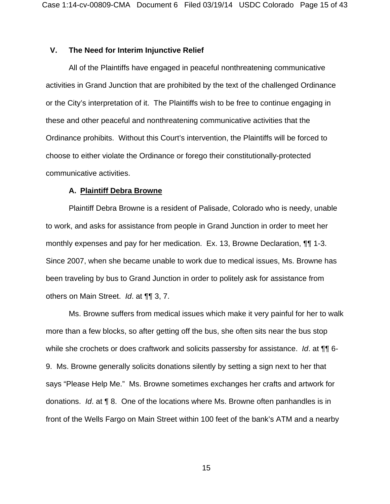### **V. The Need for Interim Injunctive Relief**

All of the Plaintiffs have engaged in peaceful nonthreatening communicative activities in Grand Junction that are prohibited by the text of the challenged Ordinance or the City's interpretation of it. The Plaintiffs wish to be free to continue engaging in these and other peaceful and nonthreatening communicative activities that the Ordinance prohibits. Without this Court's intervention, the Plaintiffs will be forced to choose to either violate the Ordinance or forego their constitutionally-protected communicative activities.

#### **A. Plaintiff Debra Browne**

Plaintiff Debra Browne is a resident of Palisade, Colorado who is needy, unable to work, and asks for assistance from people in Grand Junction in order to meet her monthly expenses and pay for her medication. Ex. 13, Browne Declaration, ¶¶ 1-3. Since 2007, when she became unable to work due to medical issues, Ms. Browne has been traveling by bus to Grand Junction in order to politely ask for assistance from others on Main Street. *Id*. at ¶¶ 3, 7.

Ms. Browne suffers from medical issues which make it very painful for her to walk more than a few blocks, so after getting off the bus, she often sits near the bus stop while she crochets or does craftwork and solicits passersby for assistance. *Id*. at ¶¶ 6- 9. Ms. Browne generally solicits donations silently by setting a sign next to her that says "Please Help Me." Ms. Browne sometimes exchanges her crafts and artwork for donations. *Id*. at ¶ 8. One of the locations where Ms. Browne often panhandles is in front of the Wells Fargo on Main Street within 100 feet of the bank's ATM and a nearby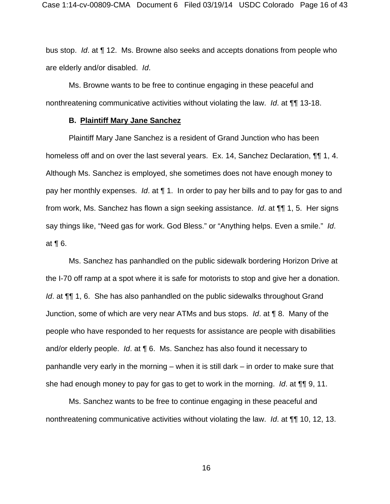bus stop. *Id*. at ¶ 12. Ms. Browne also seeks and accepts donations from people who are elderly and/or disabled. *Id*.

Ms. Browne wants to be free to continue engaging in these peaceful and nonthreatening communicative activities without violating the law. *Id*. at ¶¶ 13-18.

#### **B. Plaintiff Mary Jane Sanchez**

Plaintiff Mary Jane Sanchez is a resident of Grand Junction who has been homeless off and on over the last several years. Ex. 14, Sanchez Declaration, ¶¶ 1, 4. Although Ms. Sanchez is employed, she sometimes does not have enough money to pay her monthly expenses. *Id*. at ¶ 1. In order to pay her bills and to pay for gas to and from work, Ms. Sanchez has flown a sign seeking assistance. *Id*. at ¶¶ 1, 5. Her signs say things like, "Need gas for work. God Bless." or "Anything helps. Even a smile." *Id*. at ¶ 6.

Ms. Sanchez has panhandled on the public sidewalk bordering Horizon Drive at the I-70 off ramp at a spot where it is safe for motorists to stop and give her a donation. *Id.* at  $\P\P$  1, 6. She has also panhandled on the public sidewalks throughout Grand Junction, some of which are very near ATMs and bus stops. *Id*. at ¶ 8. Many of the people who have responded to her requests for assistance are people with disabilities and/or elderly people. *Id*. at ¶ 6. Ms. Sanchez has also found it necessary to panhandle very early in the morning – when it is still dark – in order to make sure that she had enough money to pay for gas to get to work in the morning. *Id*. at ¶¶ 9, 11.

Ms. Sanchez wants to be free to continue engaging in these peaceful and nonthreatening communicative activities without violating the law. *Id*. at ¶¶ 10, 12, 13.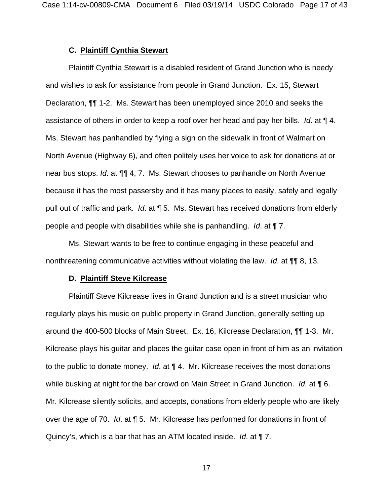### **C. Plaintiff Cynthia Stewart**

Plaintiff Cynthia Stewart is a disabled resident of Grand Junction who is needy and wishes to ask for assistance from people in Grand Junction. Ex. 15, Stewart Declaration, ¶¶ 1-2. Ms. Stewart has been unemployed since 2010 and seeks the assistance of others in order to keep a roof over her head and pay her bills. *Id*. at ¶ 4. Ms. Stewart has panhandled by flying a sign on the sidewalk in front of Walmart on North Avenue (Highway 6), and often politely uses her voice to ask for donations at or near bus stops. *Id*. at ¶¶ 4, 7. Ms. Stewart chooses to panhandle on North Avenue because it has the most passersby and it has many places to easily, safely and legally pull out of traffic and park. *Id*. at ¶ 5. Ms. Stewart has received donations from elderly people and people with disabilities while she is panhandling. *Id*. at ¶ 7.

Ms. Stewart wants to be free to continue engaging in these peaceful and nonthreatening communicative activities without violating the law. *Id*. at ¶¶ 8, 13.

#### **D. Plaintiff Steve Kilcrease**

Plaintiff Steve Kilcrease lives in Grand Junction and is a street musician who regularly plays his music on public property in Grand Junction, generally setting up around the 400-500 blocks of Main Street. Ex. 16, Kilcrease Declaration, ¶¶ 1-3. Mr. Kilcrease plays his guitar and places the guitar case open in front of him as an invitation to the public to donate money. *Id*. at ¶ 4. Mr. Kilcrease receives the most donations while busking at night for the bar crowd on Main Street in Grand Junction. *Id*. at ¶ 6. Mr. Kilcrease silently solicits, and accepts, donations from elderly people who are likely over the age of 70. *Id*. at ¶ 5. Mr. Kilcrease has performed for donations in front of Quincy's, which is a bar that has an ATM located inside. *Id*. at ¶ 7.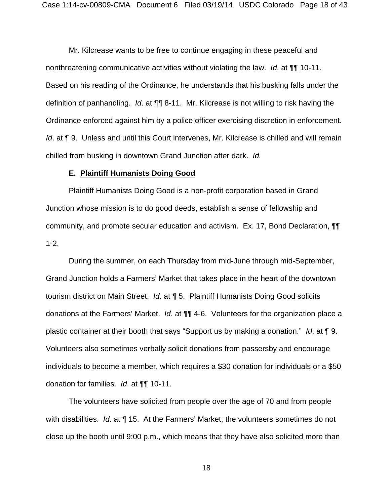Mr. Kilcrease wants to be free to continue engaging in these peaceful and nonthreatening communicative activities without violating the law. *Id*. at ¶¶ 10-11. Based on his reading of the Ordinance, he understands that his busking falls under the definition of panhandling. *Id*. at ¶¶ 8-11. Mr. Kilcrease is not willing to risk having the Ordinance enforced against him by a police officer exercising discretion in enforcement. *Id.* at **[9.]** Unless and until this Court intervenes, Mr. Kilcrease is chilled and will remain chilled from busking in downtown Grand Junction after dark. *Id.* 

#### **E. Plaintiff Humanists Doing Good**

Plaintiff Humanists Doing Good is a non-profit corporation based in Grand Junction whose mission is to do good deeds, establish a sense of fellowship and community, and promote secular education and activism. Ex. 17, Bond Declaration, ¶¶ 1-2.

During the summer, on each Thursday from mid-June through mid-September, Grand Junction holds a Farmers' Market that takes place in the heart of the downtown tourism district on Main Street. *Id*. at ¶ 5. Plaintiff Humanists Doing Good solicits donations at the Farmers' Market. *Id*. at ¶¶ 4-6. Volunteers for the organization place a plastic container at their booth that says "Support us by making a donation." *Id*. at ¶ 9. Volunteers also sometimes verbally solicit donations from passersby and encourage individuals to become a member, which requires a \$30 donation for individuals or a \$50 donation for families. *Id*. at ¶¶ 10-11.

The volunteers have solicited from people over the age of 70 and from people with disabilities. *Id*. at ¶ 15. At the Farmers' Market, the volunteers sometimes do not close up the booth until 9:00 p.m., which means that they have also solicited more than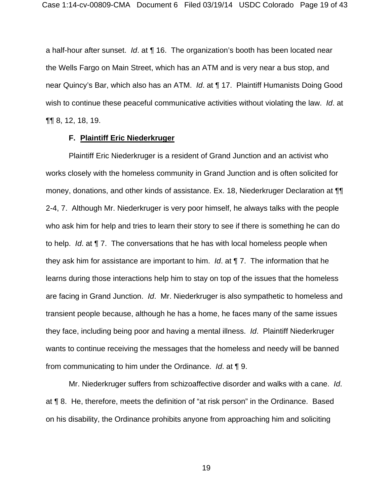a half-hour after sunset. *Id*. at ¶ 16. The organization's booth has been located near the Wells Fargo on Main Street, which has an ATM and is very near a bus stop, and near Quincy's Bar, which also has an ATM. *Id*. at ¶ 17. Plaintiff Humanists Doing Good wish to continue these peaceful communicative activities without violating the law. *Id*. at ¶¶ 8, 12, 18, 19.

### **F. Plaintiff Eric Niederkruger**

Plaintiff Eric Niederkruger is a resident of Grand Junction and an activist who works closely with the homeless community in Grand Junction and is often solicited for money, donations, and other kinds of assistance. Ex. 18, Niederkruger Declaration at ¶¶ 2-4, 7. Although Mr. Niederkruger is very poor himself, he always talks with the people who ask him for help and tries to learn their story to see if there is something he can do to help. *Id*. at ¶ 7. The conversations that he has with local homeless people when they ask him for assistance are important to him. *Id*. at ¶ 7. The information that he learns during those interactions help him to stay on top of the issues that the homeless are facing in Grand Junction. *Id*. Mr. Niederkruger is also sympathetic to homeless and transient people because, although he has a home, he faces many of the same issues they face, including being poor and having a mental illness. *Id*. Plaintiff Niederkruger wants to continue receiving the messages that the homeless and needy will be banned from communicating to him under the Ordinance. *Id*. at ¶ 9.

Mr. Niederkruger suffers from schizoaffective disorder and walks with a cane. *Id*. at ¶ 8. He, therefore, meets the definition of "at risk person" in the Ordinance. Based on his disability, the Ordinance prohibits anyone from approaching him and soliciting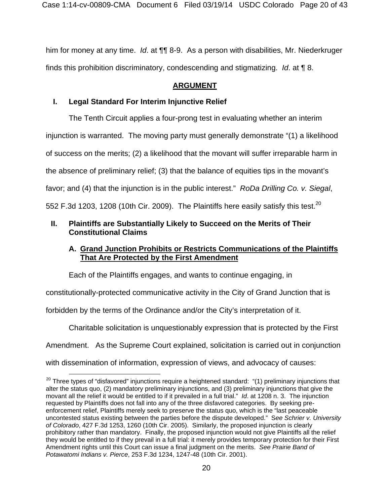him for money at any time. *Id*. at ¶¶ 8-9. As a person with disabilities, Mr. Niederkruger finds this prohibition discriminatory, condescending and stigmatizing. *Id*. at ¶ 8.

# **ARGUMENT**

# **I. Legal Standard For Interim Injunctive Relief**

The Tenth Circuit applies a four-prong test in evaluating whether an interim injunction is warranted. The moving party must generally demonstrate "(1) a likelihood of success on the merits; (2) a likelihood that the movant will suffer irreparable harm in the absence of preliminary relief; (3) that the balance of equities tips in the movant's favor; and (4) that the injunction is in the public interest." *RoDa Drilling Co. v. Siegal*, 552 F.3d 1203, 1208 (10th Cir. 2009). The Plaintiffs here easily satisfy this test.<sup>20</sup>

# **II. Plaintiffs are Substantially Likely to Succeed on the Merits of Their Constitutional Claims**

# **A. Grand Junction Prohibits or Restricts Communications of the Plaintiffs That Are Protected by the First Amendment**

Each of the Plaintiffs engages, and wants to continue engaging, in

constitutionally-protected communicative activity in the City of Grand Junction that is

forbidden by the terms of the Ordinance and/or the City's interpretation of it.

Charitable solicitation is unquestionably expression that is protected by the First Amendment. As the Supreme Court explained, solicitation is carried out in conjunction

with dissemination of information, expression of views, and advocacy of causes:

 $20$  Three types of "disfavored" injunctions require a heightened standard: "(1) preliminary injunctions that alter the status quo, (2) mandatory preliminary injunctions, and (3) preliminary injunctions that give the movant all the relief it would be entitled to if it prevailed in a full trial." *Id*. at 1208 n. 3. The injunction requested by Plaintiffs does not fall into any of the three disfavored categories. By seeking preenforcement relief, Plaintiffs merely seek to preserve the status quo, which is the "last peaceable uncontested status existing between the parties before the dispute developed." S*ee Schrier v. University of Colorado*, 427 F.3d 1253, 1260 (10th Cir. 2005). Similarly, the proposed injunction is clearly prohibitory rather than mandatory. Finally, the proposed injunction would not give Plaintiffs all the relief they would be entitled to if they prevail in a full trial: it merely provides temporary protection for their First Amendment rights until this Court can issue a final judgment on the merits. *See Prairie Band of Potawatomi Indians v. Pierce*, 253 F.3d 1234, 1247-48 (10th Cir. 2001).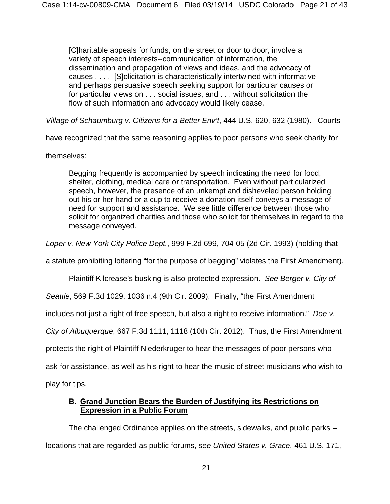[C]haritable appeals for funds, on the street or door to door, involve a variety of speech interests--communication of information, the dissemination and propagation of views and ideas, and the advocacy of causes . . . . [S]olicitation is characteristically intertwined with informative and perhaps persuasive speech seeking support for particular causes or for particular views on . . . social issues, and . . . without solicitation the flow of such information and advocacy would likely cease.

*Village of Schaumburg v. Citizens for a Better Env't*, 444 U.S. 620, 632 (1980). Courts

have recognized that the same reasoning applies to poor persons who seek charity for

themselves:

Begging frequently is accompanied by speech indicating the need for food, shelter, clothing, medical care or transportation. Even without particularized speech, however, the presence of an unkempt and disheveled person holding out his or her hand or a cup to receive a donation itself conveys a message of need for support and assistance. We see little difference between those who solicit for organized charities and those who solicit for themselves in regard to the message conveyed.

*Loper v. New York City Police Dept.*, 999 F.2d 699, 704-05 (2d Cir. 1993) (holding that

a statute prohibiting loitering "for the purpose of begging" violates the First Amendment).

Plaintiff Kilcrease's busking is also protected expression. *See Berger v. City of* 

*Seattle*, 569 F.3d 1029, 1036 n.4 (9th Cir. 2009). Finally, "the First Amendment

includes not just a right of free speech, but also a right to receive information." *Doe v.* 

*City of Albuquerque*, 667 F.3d 1111, 1118 (10th Cir. 2012). Thus, the First Amendment

protects the right of Plaintiff Niederkruger to hear the messages of poor persons who

ask for assistance, as well as his right to hear the music of street musicians who wish to

play for tips.

## **B. Grand Junction Bears the Burden of Justifying its Restrictions on Expression in a Public Forum**

The challenged Ordinance applies on the streets, sidewalks, and public parks – locations that are regarded as public forums, *see United States v. Grace*, 461 U.S. 171,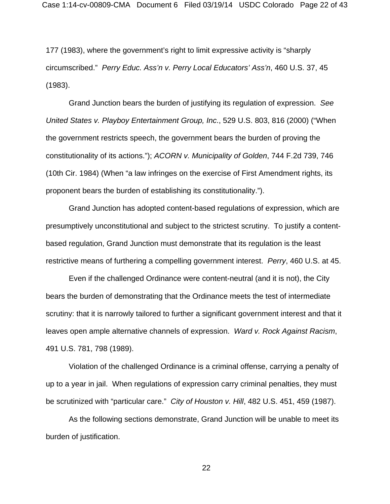177 (1983), where the government's right to limit expressive activity is "sharply circumscribed." *Perry Educ. Ass'n v. Perry Local Educators' Ass'n*, 460 U.S. 37, 45 (1983).

Grand Junction bears the burden of justifying its regulation of expression. *See United States v. Playboy Entertainment Group, Inc*., 529 U.S. 803, 816 (2000) ("When the government restricts speech, the government bears the burden of proving the constitutionality of its actions."); *ACORN v. Municipality of Golden*, 744 F.2d 739, 746 (10th Cir. 1984) (When "a law infringes on the exercise of First Amendment rights, its proponent bears the burden of establishing its constitutionality.").

Grand Junction has adopted content-based regulations of expression, which are presumptively unconstitutional and subject to the strictest scrutiny. To justify a contentbased regulation, Grand Junction must demonstrate that its regulation is the least restrictive means of furthering a compelling government interest. *Perry*, 460 U.S. at 45.

Even if the challenged Ordinance were content-neutral (and it is not), the City bears the burden of demonstrating that the Ordinance meets the test of intermediate scrutiny: that it is narrowly tailored to further a significant government interest and that it leaves open ample alternative channels of expression. *Ward v. Rock Against Racism*, 491 U.S. 781, 798 (1989).

Violation of the challenged Ordinance is a criminal offense, carrying a penalty of up to a year in jail. When regulations of expression carry criminal penalties, they must be scrutinized with "particular care." *City of Houston v. Hill*, 482 U.S. 451, 459 (1987).

As the following sections demonstrate, Grand Junction will be unable to meet its burden of justification.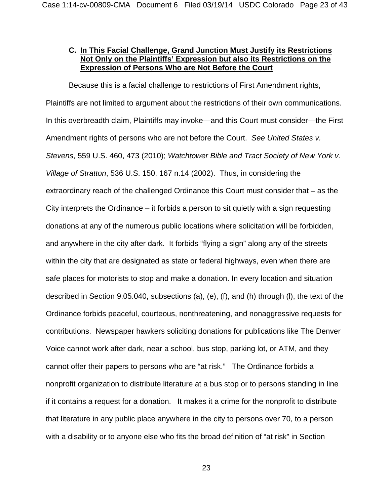# **C. In This Facial Challenge, Grand Junction Must Justify its Restrictions Not Only on the Plaintiffs' Expression but also its Restrictions on the Expression of Persons Who are Not Before the Court**

Because this is a facial challenge to restrictions of First Amendment rights, Plaintiffs are not limited to argument about the restrictions of their own communications. In this overbreadth claim, Plaintiffs may invoke—and this Court must consider—the First Amendment rights of persons who are not before the Court. *See United States v. Stevens*, 559 U.S. 460, 473 (2010); *Watchtower Bible and Tract Society of New York v. Village of Stratton*, 536 U.S. 150, 167 n.14 (2002). Thus, in considering the extraordinary reach of the challenged Ordinance this Court must consider that – as the City interprets the Ordinance  $-$  it forbids a person to sit quietly with a sign requesting donations at any of the numerous public locations where solicitation will be forbidden, and anywhere in the city after dark. It forbids "flying a sign" along any of the streets within the city that are designated as state or federal highways, even when there are safe places for motorists to stop and make a donation. In every location and situation described in Section 9.05.040, subsections (a), (e), (f), and (h) through (l), the text of the Ordinance forbids peaceful, courteous, nonthreatening, and nonaggressive requests for contributions. Newspaper hawkers soliciting donations for publications like The Denver Voice cannot work after dark, near a school, bus stop, parking lot, or ATM, and they cannot offer their papers to persons who are "at risk." The Ordinance forbids a nonprofit organization to distribute literature at a bus stop or to persons standing in line if it contains a request for a donation. It makes it a crime for the nonprofit to distribute that literature in any public place anywhere in the city to persons over 70, to a person with a disability or to anyone else who fits the broad definition of "at risk" in Section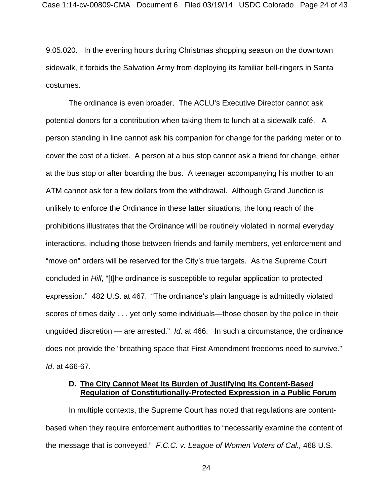9.05.020. In the evening hours during Christmas shopping season on the downtown sidewalk, it forbids the Salvation Army from deploying its familiar bell-ringers in Santa costumes.

The ordinance is even broader. The ACLU's Executive Director cannot ask potential donors for a contribution when taking them to lunch at a sidewalk café. A person standing in line cannot ask his companion for change for the parking meter or to cover the cost of a ticket. A person at a bus stop cannot ask a friend for change, either at the bus stop or after boarding the bus. A teenager accompanying his mother to an ATM cannot ask for a few dollars from the withdrawal. Although Grand Junction is unlikely to enforce the Ordinance in these latter situations, the long reach of the prohibitions illustrates that the Ordinance will be routinely violated in normal everyday interactions, including those between friends and family members, yet enforcement and "move on" orders will be reserved for the City's true targets. As the Supreme Court concluded in *Hill*, "[t]he ordinance is susceptible to regular application to protected expression." 482 U.S. at 467. "The ordinance's plain language is admittedly violated scores of times daily . . . yet only some individuals—those chosen by the police in their unguided discretion — are arrested." *Id*. at 466. In such a circumstance, the ordinance does not provide the "breathing space that First Amendment freedoms need to survive." *Id*. at 466-67.

### **D. The City Cannot Meet Its Burden of Justifying Its Content-Based Regulation of Constitutionally-Protected Expression in a Public Forum**

In multiple contexts, the Supreme Court has noted that regulations are contentbased when they require enforcement authorities to "necessarily examine the content of the message that is conveyed." *F.C.C. v. League of Women Voters of Cal.,* 468 U.S.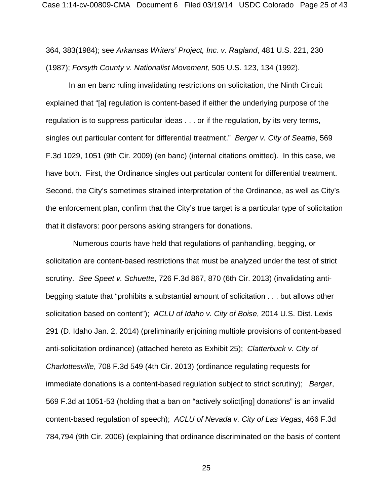364, 383(1984); see *Arkansas Writers' Project, Inc. v. Ragland*, 481 U.S. 221, 230 (1987); *Forsyth County v. Nationalist Movement*, 505 U.S. 123, 134 (1992).

In an en banc ruling invalidating restrictions on solicitation, the Ninth Circuit explained that "[a] regulation is content-based if either the underlying purpose of the regulation is to suppress particular ideas . . . or if the regulation, by its very terms, singles out particular content for differential treatment." *Berger v. City of Seattle*, 569 F.3d 1029, 1051 (9th Cir. 2009) (en banc) (internal citations omitted). In this case, we have both. First, the Ordinance singles out particular content for differential treatment. Second, the City's sometimes strained interpretation of the Ordinance, as well as City's the enforcement plan, confirm that the City's true target is a particular type of solicitation that it disfavors: poor persons asking strangers for donations.

 Numerous courts have held that regulations of panhandling, begging, or solicitation are content-based restrictions that must be analyzed under the test of strict scrutiny. *See Speet v. Schuette*, 726 F.3d 867, 870 (6th Cir. 2013) (invalidating antibegging statute that "prohibits a substantial amount of solicitation . . . but allows other solicitation based on content"); *ACLU of Idaho v. City of Boise*, 2014 U.S. Dist. Lexis 291 (D. Idaho Jan. 2, 2014) (preliminarily enjoining multiple provisions of content-based anti-solicitation ordinance) (attached hereto as Exhibit 25); *Clatterbuck v. City of Charlottesville*, 708 F.3d 549 (4th Cir. 2013) (ordinance regulating requests for immediate donations is a content-based regulation subject to strict scrutiny); *Berger*, 569 F.3d at 1051-53 (holding that a ban on "actively solict[ing] donations" is an invalid content-based regulation of speech); *ACLU of Nevada v. City of Las Vegas*, 466 F.3d 784,794 (9th Cir. 2006) (explaining that ordinance discriminated on the basis of content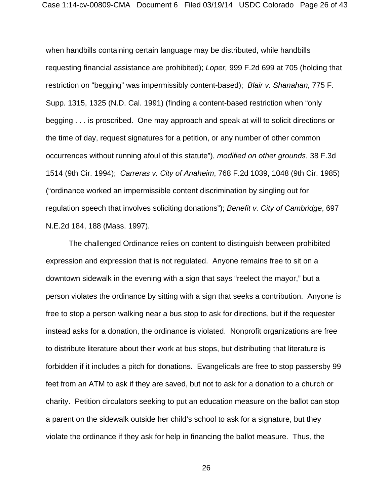when handbills containing certain language may be distributed, while handbills requesting financial assistance are prohibited); *Loper,* 999 F.2d 699 at 705 (holding that restriction on "begging" was impermissibly content-based); *Blair v. Shanahan,* 775 F. Supp. 1315, 1325 (N.D. Cal. 1991) (finding a content-based restriction when "only begging . . . is proscribed. One may approach and speak at will to solicit directions or the time of day, request signatures for a petition, or any number of other common occurrences without running afoul of this statute"), *modified on other grounds*, 38 F.3d 1514 (9th Cir. 1994); *Carreras v. City of Anaheim*, 768 F.2d 1039, 1048 (9th Cir. 1985) ("ordinance worked an impermissible content discrimination by singling out for regulation speech that involves soliciting donations"); *Benefit v. City of Cambridge*, 697 N.E.2d 184, 188 (Mass. 1997).

The challenged Ordinance relies on content to distinguish between prohibited expression and expression that is not regulated. Anyone remains free to sit on a downtown sidewalk in the evening with a sign that says "reelect the mayor," but a person violates the ordinance by sitting with a sign that seeks a contribution. Anyone is free to stop a person walking near a bus stop to ask for directions, but if the requester instead asks for a donation, the ordinance is violated. Nonprofit organizations are free to distribute literature about their work at bus stops, but distributing that literature is forbidden if it includes a pitch for donations. Evangelicals are free to stop passersby 99 feet from an ATM to ask if they are saved, but not to ask for a donation to a church or charity. Petition circulators seeking to put an education measure on the ballot can stop a parent on the sidewalk outside her child's school to ask for a signature, but they violate the ordinance if they ask for help in financing the ballot measure. Thus, the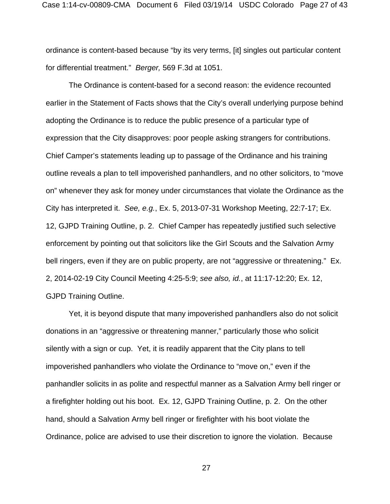ordinance is content-based because "by its very terms, [it] singles out particular content for differential treatment." *Berger,* 569 F.3d at 1051.

The Ordinance is content-based for a second reason: the evidence recounted earlier in the Statement of Facts shows that the City's overall underlying purpose behind adopting the Ordinance is to reduce the public presence of a particular type of expression that the City disapproves: poor people asking strangers for contributions. Chief Camper's statements leading up to passage of the Ordinance and his training outline reveals a plan to tell impoverished panhandlers, and no other solicitors, to "move on" whenever they ask for money under circumstances that violate the Ordinance as the City has interpreted it. *See, e.g.*, Ex. 5, 2013-07-31 Workshop Meeting, 22:7-17; Ex. 12, GJPD Training Outline, p. 2. Chief Camper has repeatedly justified such selective enforcement by pointing out that solicitors like the Girl Scouts and the Salvation Army bell ringers, even if they are on public property, are not "aggressive or threatening." Ex. 2, 2014-02-19 City Council Meeting 4:25-5:9; *see also, id.*, at 11:17-12:20; Ex. 12, GJPD Training Outline.

Yet, it is beyond dispute that many impoverished panhandlers also do not solicit donations in an "aggressive or threatening manner," particularly those who solicit silently with a sign or cup. Yet, it is readily apparent that the City plans to tell impoverished panhandlers who violate the Ordinance to "move on," even if the panhandler solicits in as polite and respectful manner as a Salvation Army bell ringer or a firefighter holding out his boot. Ex. 12, GJPD Training Outline, p. 2. On the other hand, should a Salvation Army bell ringer or firefighter with his boot violate the Ordinance, police are advised to use their discretion to ignore the violation. Because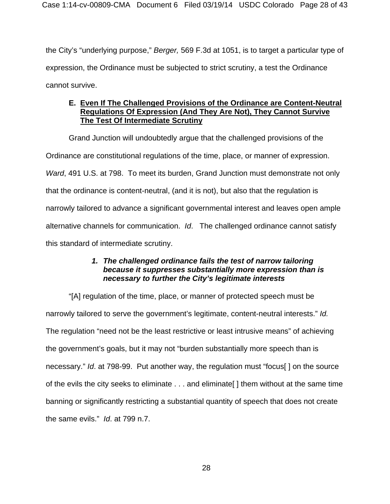the City's "underlying purpose," *Berger,* 569 F.3d at 1051, is to target a particular type of expression, the Ordinance must be subjected to strict scrutiny, a test the Ordinance cannot survive.

# **E. Even If The Challenged Provisions of the Ordinance are Content-Neutral Regulations Of Expression (And They Are Not), They Cannot Survive The Test Of Intermediate Scrutiny**

Grand Junction will undoubtedly argue that the challenged provisions of the Ordinance are constitutional regulations of the time, place, or manner of expression. *Ward*, 491 U.S. at 798. To meet its burden, Grand Junction must demonstrate not only that the ordinance is content-neutral, (and it is not), but also that the regulation is narrowly tailored to advance a significant governmental interest and leaves open ample alternative channels for communication. *Id*. The challenged ordinance cannot satisfy this standard of intermediate scrutiny.

# *1. The challenged ordinance fails the test of narrow tailoring because it suppresses substantially more expression than is necessary to further the City's legitimate interests*

"[A] regulation of the time, place, or manner of protected speech must be narrowly tailored to serve the government's legitimate, content-neutral interests." *Id.*  The regulation "need not be the least restrictive or least intrusive means" of achieving the government's goals, but it may not "burden substantially more speech than is necessary." *Id*. at 798-99. Put another way, the regulation must "focus[ ] on the source of the evils the city seeks to eliminate . . . and eliminate[ ] them without at the same time banning or significantly restricting a substantial quantity of speech that does not create the same evils." *Id*. at 799 n.7.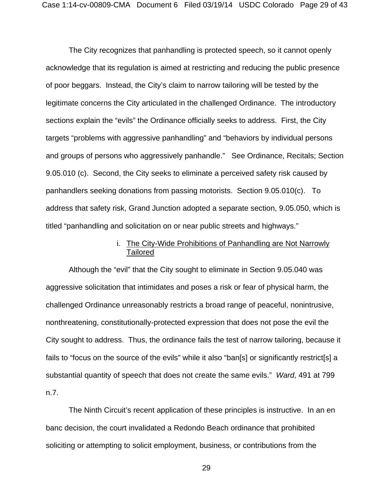The City recognizes that panhandling is protected speech, so it cannot openly acknowledge that its regulation is aimed at restricting and reducing the public presence of poor beggars. Instead, the City's claim to narrow tailoring will be tested by the legitimate concerns the City articulated in the challenged Ordinance. The introductory sections explain the "evils" the Ordinance officially seeks to address. First, the City targets "problems with aggressive panhandling" and "behaviors by individual persons and groups of persons who aggressively panhandle." See Ordinance, Recitals; Section 9.05.010 (c). Second, the City seeks to eliminate a perceived safety risk caused by panhandlers seeking donations from passing motorists. Section 9.05.010(c). To address that safety risk, Grand Junction adopted a separate section, 9.05.050, which is titled "panhandling and solicitation on or near public streets and highways."

## i. The City-Wide Prohibitions of Panhandling are Not Narrowly **Tailored**

Although the "evil" that the City sought to eliminate in Section 9.05.040 was aggressive solicitation that intimidates and poses a risk or fear of physical harm, the challenged Ordinance unreasonably restricts a broad range of peaceful, nonintrusive, nonthreatening, constitutionally-protected expression that does not pose the evil the City sought to address. Thus, the ordinance fails the test of narrow tailoring, because it fails to "focus on the source of the evils" while it also "ban[s] or significantly restrict[s] a substantial quantity of speech that does not create the same evils." *Ward*, 491 at 799 n.7.

The Ninth Circuit's recent application of these principles is instructive. In an en banc decision, the court invalidated a Redondo Beach ordinance that prohibited soliciting or attempting to solicit employment, business, or contributions from the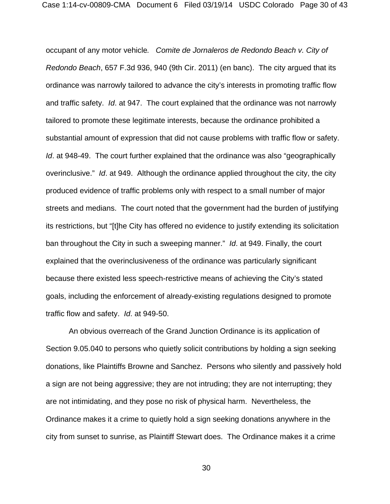occupant of any motor vehicle*. Comite de Jornaleros de Redondo Beach v. City of Redondo Beach*, 657 F.3d 936, 940 (9th Cir. 2011) (en banc). The city argued that its ordinance was narrowly tailored to advance the city's interests in promoting traffic flow and traffic safety. *Id*. at 947. The court explained that the ordinance was not narrowly tailored to promote these legitimate interests, because the ordinance prohibited a substantial amount of expression that did not cause problems with traffic flow or safety. *Id*. at 948-49. The court further explained that the ordinance was also "geographically overinclusive." *Id*. at 949. Although the ordinance applied throughout the city, the city produced evidence of traffic problems only with respect to a small number of major streets and medians. The court noted that the government had the burden of justifying its restrictions, but "[t]he City has offered no evidence to justify extending its solicitation ban throughout the City in such a sweeping manner." *Id*. at 949. Finally, the court explained that the overinclusiveness of the ordinance was particularly significant because there existed less speech-restrictive means of achieving the City's stated goals, including the enforcement of already-existing regulations designed to promote traffic flow and safety. *Id*. at 949-50.

An obvious overreach of the Grand Junction Ordinance is its application of Section 9.05.040 to persons who quietly solicit contributions by holding a sign seeking donations, like Plaintiffs Browne and Sanchez. Persons who silently and passively hold a sign are not being aggressive; they are not intruding; they are not interrupting; they are not intimidating, and they pose no risk of physical harm. Nevertheless, the Ordinance makes it a crime to quietly hold a sign seeking donations anywhere in the city from sunset to sunrise, as Plaintiff Stewart does. The Ordinance makes it a crime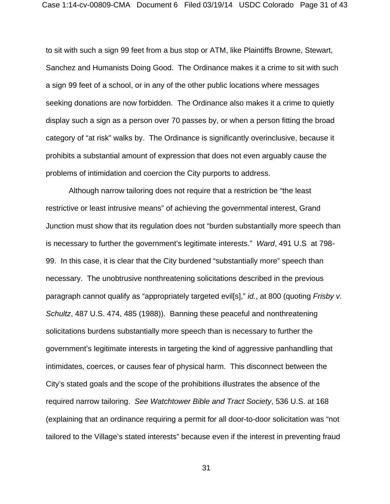to sit with such a sign 99 feet from a bus stop or ATM, like Plaintiffs Browne, Stewart, Sanchez and Humanists Doing Good. The Ordinance makes it a crime to sit with such a sign 99 feet of a school, or in any of the other public locations where messages seeking donations are now forbidden. The Ordinance also makes it a crime to quietly display such a sign as a person over 70 passes by, or when a person fitting the broad category of "at risk" walks by. The Ordinance is significantly overinclusive, because it prohibits a substantial amount of expression that does not even arguably cause the problems of intimidation and coercion the City purports to address.

Although narrow tailoring does not require that a restriction be "the least restrictive or least intrusive means" of achieving the governmental interest, Grand Junction must show that its regulation does not "burden substantially more speech than is necessary to further the government's legitimate interests." *Ward*, 491 U.S at 798- 99. In this case, it is clear that the City burdened "substantially more" speech than necessary. The unobtrusive nonthreatening solicitations described in the previous paragraph cannot qualify as "appropriately targeted evil[s]," *id.*, at 800 (quoting *Frisby v. Schultz*, 487 U.S. 474, 485 (1988)). Banning these peaceful and nonthreatening solicitations burdens substantially more speech than is necessary to further the government's legitimate interests in targeting the kind of aggressive panhandling that intimidates, coerces, or causes fear of physical harm. This disconnect between the City's stated goals and the scope of the prohibitions illustrates the absence of the required narrow tailoring. *See Watchtower Bible and Tract Society*, 536 U.S. at 168 (explaining that an ordinance requiring a permit for all door-to-door solicitation was "not tailored to the Village's stated interests" because even if the interest in preventing fraud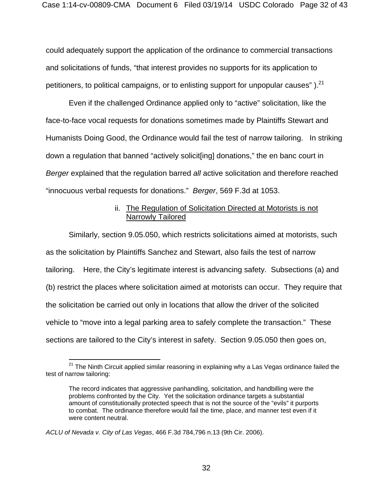could adequately support the application of the ordinance to commercial transactions and solicitations of funds, "that interest provides no supports for its application to petitioners, to political campaigns, or to enlisting support for unpopular causes"  $l^{21}$ .

Even if the challenged Ordinance applied only to "active" solicitation, like the face-to-face vocal requests for donations sometimes made by Plaintiffs Stewart and Humanists Doing Good, the Ordinance would fail the test of narrow tailoring. In striking down a regulation that banned "actively solicit[ing] donations," the en banc court in *Berger* explained that the regulation barred *all* active solicitation and therefore reached "innocuous verbal requests for donations." *Berger*, 569 F.3d at 1053.

## ii. The Regulation of Solicitation Directed at Motorists is not Narrowly Tailored

Similarly, section 9.05.050, which restricts solicitations aimed at motorists, such as the solicitation by Plaintiffs Sanchez and Stewart, also fails the test of narrow tailoring. Here, the City's legitimate interest is advancing safety. Subsections (a) and (b) restrict the places where solicitation aimed at motorists can occur. They require that the solicitation be carried out only in locations that allow the driver of the solicited vehicle to "move into a legal parking area to safely complete the transaction." These sections are tailored to the City's interest in safety. Section 9.05.050 then goes on,

 $\overline{a}$ 

 $^{21}$  The Ninth Circuit applied similar reasoning in explaining why a Las Vegas ordinance failed the test of narrow tailoring:

The record indicates that aggressive panhandling, solicitation, and handbilling were the problems confronted by the City. Yet the solicitation ordinance targets a substantial amount of constitutionally protected speech that is not the source of the "evils" it purports to combat. The ordinance therefore would fail the time, place, and manner test even if it were content neutral.

*ACLU of Nevada v. City of Las Vegas*, 466 F.3d 784,796 n.13 (9th Cir. 2006).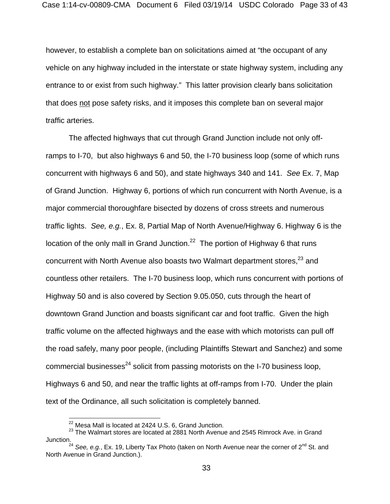however, to establish a complete ban on solicitations aimed at "the occupant of any vehicle on any highway included in the interstate or state highway system, including any entrance to or exist from such highway." This latter provision clearly bans solicitation that does not pose safety risks, and it imposes this complete ban on several major traffic arteries.

The affected highways that cut through Grand Junction include not only offramps to I-70, but also highways 6 and 50, the I-70 business loop (some of which runs concurrent with highways 6 and 50), and state highways 340 and 141. *See* Ex. 7, Map of Grand Junction. Highway 6, portions of which run concurrent with North Avenue, is a major commercial thoroughfare bisected by dozens of cross streets and numerous traffic lights. *See, e.g.*, Ex. 8, Partial Map of North Avenue/Highway 6. Highway 6 is the location of the only mall in Grand Junction.<sup>22</sup> The portion of Highway 6 that runs concurrent with North Avenue also boasts two Walmart department stores.<sup>23</sup> and countless other retailers. The I-70 business loop, which runs concurrent with portions of Highway 50 and is also covered by Section 9.05.050, cuts through the heart of downtown Grand Junction and boasts significant car and foot traffic. Given the high traffic volume on the affected highways and the ease with which motorists can pull off the road safely, many poor people, (including Plaintiffs Stewart and Sanchez) and some commercial businesses $^{24}$  solicit from passing motorists on the I-70 business loop, Highways 6 and 50, and near the traffic lights at off-ramps from I-70. Under the plain text of the Ordinance, all such solicitation is completely banned.

 $\overline{a}$ 

 $^{22}$  Mesa Mall is located at 2424 U.S. 6, Grand Junction.

 $^{23}$  The Walmart stores are located at 2881 North Avenue and 2545 Rimrock Ave. in Grand Junction.

<sup>&</sup>lt;sup>24</sup> See, e.g., Ex. 19, Liberty Tax Photo (taken on North Avenue near the corner of 2<sup>nd</sup> St. and North Avenue in Grand Junction.).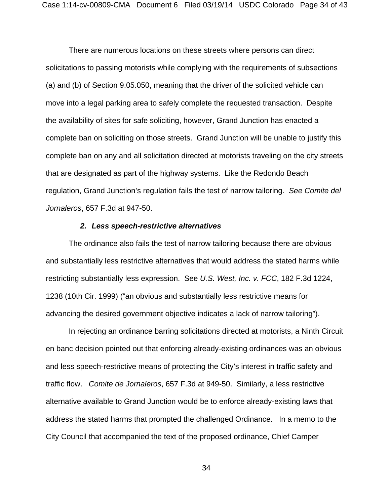There are numerous locations on these streets where persons can direct solicitations to passing motorists while complying with the requirements of subsections (a) and (b) of Section 9.05.050, meaning that the driver of the solicited vehicle can move into a legal parking area to safely complete the requested transaction. Despite the availability of sites for safe soliciting, however, Grand Junction has enacted a complete ban on soliciting on those streets. Grand Junction will be unable to justify this complete ban on any and all solicitation directed at motorists traveling on the city streets that are designated as part of the highway systems. Like the Redondo Beach regulation, Grand Junction's regulation fails the test of narrow tailoring. *See Comite del Jornaleros*, 657 F.3d at 947-50.

#### *2. Less speech-restrictive alternatives*

The ordinance also fails the test of narrow tailoring because there are obvious and substantially less restrictive alternatives that would address the stated harms while restricting substantially less expression. See *U.S. West, Inc. v. FCC*, 182 F.3d 1224, 1238 (10th Cir. 1999) ("an obvious and substantially less restrictive means for advancing the desired government objective indicates a lack of narrow tailoring").

In rejecting an ordinance barring solicitations directed at motorists, a Ninth Circuit en banc decision pointed out that enforcing already-existing ordinances was an obvious and less speech-restrictive means of protecting the City's interest in traffic safety and traffic flow. *Comite de Jornaleros*, 657 F.3d at 949-50. Similarly, a less restrictive alternative available to Grand Junction would be to enforce already-existing laws that address the stated harms that prompted the challenged Ordinance. In a memo to the City Council that accompanied the text of the proposed ordinance, Chief Camper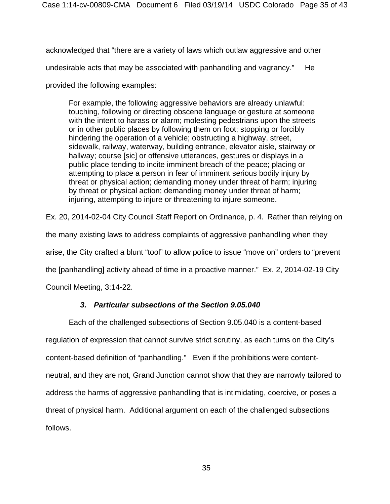acknowledged that "there are a variety of laws which outlaw aggressive and other

undesirable acts that may be associated with panhandling and vagrancy." He

provided the following examples:

For example, the following aggressive behaviors are already unlawful: touching, following or directing obscene language or gesture at someone with the intent to harass or alarm; molesting pedestrians upon the streets or in other public places by following them on foot; stopping or forcibly hindering the operation of a vehicle; obstructing a highway, street, sidewalk, railway, waterway, building entrance, elevator aisle, stairway or hallway; course [sic] or offensive utterances, gestures or displays in a public place tending to incite imminent breach of the peace; placing or attempting to place a person in fear of imminent serious bodily injury by threat or physical action; demanding money under threat of harm; injuring by threat or physical action; demanding money under threat of harm; injuring, attempting to injure or threatening to injure someone.

Ex. 20, 2014-02-04 City Council Staff Report on Ordinance, p. 4. Rather than relying on the many existing laws to address complaints of aggressive panhandling when they arise, the City crafted a blunt "tool" to allow police to issue "move on" orders to "prevent the [panhandling] activity ahead of time in a proactive manner." Ex. 2, 2014-02-19 City

Council Meeting, 3:14-22.

# *3. Particular subsections of the Section 9.05.040*

Each of the challenged subsections of Section 9.05.040 is a content-based regulation of expression that cannot survive strict scrutiny, as each turns on the City's content-based definition of "panhandling." Even if the prohibitions were contentneutral, and they are not, Grand Junction cannot show that they are narrowly tailored to address the harms of aggressive panhandling that is intimidating, coercive, or poses a threat of physical harm. Additional argument on each of the challenged subsections follows.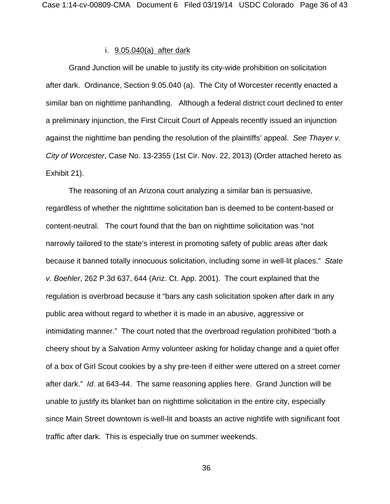### i. 9.05.040(a) after dark

Grand Junction will be unable to justify its city-wide prohibition on solicitation after dark. Ordinance, Section 9.05.040 (a). The City of Worcester recently enacted a similar ban on nighttime panhandling. Although a federal district court declined to enter a preliminary injunction, the First Circuit Court of Appeals recently issued an injunction against the nighttime ban pending the resolution of the plaintiffs' appeal. *See Thayer v. City of Worcester*, Case No. 13-2355 (1st Cir. Nov. 22, 2013) (Order attached hereto as Exhibit 21).

The reasoning of an Arizona court analyzing a similar ban is persuasive, regardless of whether the nighttime solicitation ban is deemed to be content-based or content-neutral. The court found that the ban on nighttime solicitation was "not narrowly tailored to the state's interest in promoting safety of public areas after dark because it banned totally innocuous solicitation, including some in well-lit places." *State v. Boehler*, 262 P.3d 637, 644 (Ariz. Ct. App. 2001). The court explained that the regulation is overbroad because it "bars any cash solicitation spoken after dark in any public area without regard to whether it is made in an abusive, aggressive or intimidating manner." The court noted that the overbroad regulation prohibited "both a cheery shout by a Salvation Army volunteer asking for holiday change and a quiet offer of a box of Girl Scout cookies by a shy pre-teen if either were uttered on a street corner after dark." *Id*. at 643-44. The same reasoning applies here. Grand Junction will be unable to justify its blanket ban on nighttime solicitation in the entire city, especially since Main Street downtown is well-lit and boasts an active nightlife with significant foot traffic after dark. This is especially true on summer weekends.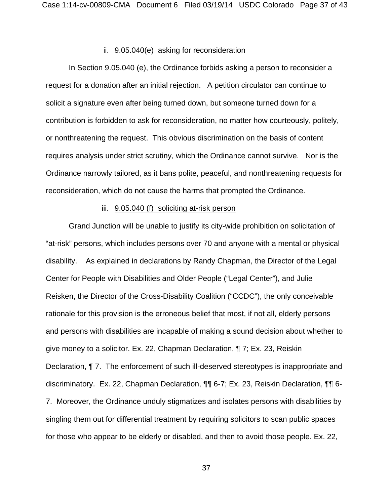### ii. 9.05.040(e) asking for reconsideration

In Section 9.05.040 (e), the Ordinance forbids asking a person to reconsider a request for a donation after an initial rejection. A petition circulator can continue to solicit a signature even after being turned down, but someone turned down for a contribution is forbidden to ask for reconsideration, no matter how courteously, politely, or nonthreatening the request. This obvious discrimination on the basis of content requires analysis under strict scrutiny, which the Ordinance cannot survive. Nor is the Ordinance narrowly tailored, as it bans polite, peaceful, and nonthreatening requests for reconsideration, which do not cause the harms that prompted the Ordinance.

#### iii. 9.05.040 (f) soliciting at-risk person

Grand Junction will be unable to justify its city-wide prohibition on solicitation of "at-risk" persons, which includes persons over 70 and anyone with a mental or physical disability. As explained in declarations by Randy Chapman, the Director of the Legal Center for People with Disabilities and Older People ("Legal Center"), and Julie Reisken, the Director of the Cross-Disability Coalition ("CCDC"), the only conceivable rationale for this provision is the erroneous belief that most, if not all, elderly persons and persons with disabilities are incapable of making a sound decision about whether to give money to a solicitor. Ex. 22, Chapman Declaration, ¶ 7; Ex. 23, Reiskin Declaration, ¶ 7. The enforcement of such ill-deserved stereotypes is inappropriate and discriminatory. Ex. 22, Chapman Declaration, ¶¶ 6-7; Ex. 23, Reiskin Declaration, ¶¶ 6- 7. Moreover, the Ordinance unduly stigmatizes and isolates persons with disabilities by singling them out for differential treatment by requiring solicitors to scan public spaces for those who appear to be elderly or disabled, and then to avoid those people. Ex. 22,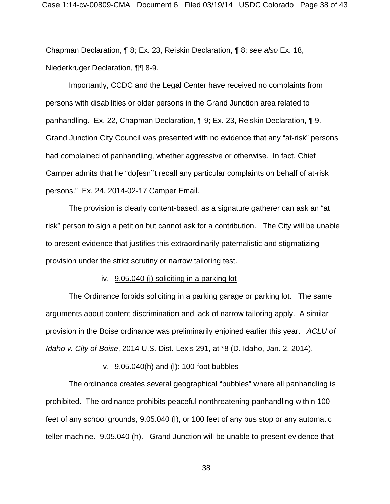Chapman Declaration, ¶ 8; Ex. 23, Reiskin Declaration, ¶ 8; *see also* Ex. 18, Niederkruger Declaration, ¶¶ 8-9.

Importantly, CCDC and the Legal Center have received no complaints from persons with disabilities or older persons in the Grand Junction area related to panhandling. Ex. 22, Chapman Declaration, ¶ 9; Ex. 23, Reiskin Declaration, ¶ 9. Grand Junction City Council was presented with no evidence that any "at-risk" persons had complained of panhandling, whether aggressive or otherwise. In fact, Chief Camper admits that he "do[esn]'t recall any particular complaints on behalf of at-risk persons." Ex. 24, 2014-02-17 Camper Email.

The provision is clearly content-based, as a signature gatherer can ask an "at risk" person to sign a petition but cannot ask for a contribution. The City will be unable to present evidence that justifies this extraordinarily paternalistic and stigmatizing provision under the strict scrutiny or narrow tailoring test.

#### iv. 9.05.040 (j) soliciting in a parking lot

The Ordinance forbids soliciting in a parking garage or parking lot. The same arguments about content discrimination and lack of narrow tailoring apply. A similar provision in the Boise ordinance was preliminarily enjoined earlier this year. *ACLU of Idaho v. City of Boise*, 2014 U.S. Dist. Lexis 291, at \*8 (D. Idaho, Jan. 2, 2014).

#### v. 9.05.040(h) and (l): 100-foot bubbles

The ordinance creates several geographical "bubbles" where all panhandling is prohibited. The ordinance prohibits peaceful nonthreatening panhandling within 100 feet of any school grounds, 9.05.040 (l), or 100 feet of any bus stop or any automatic teller machine. 9.05.040 (h). Grand Junction will be unable to present evidence that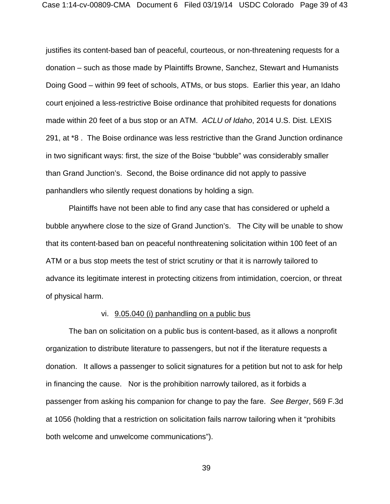justifies its content-based ban of peaceful, courteous, or non-threatening requests for a donation – such as those made by Plaintiffs Browne, Sanchez, Stewart and Humanists Doing Good – within 99 feet of schools, ATMs, or bus stops. Earlier this year, an Idaho court enjoined a less-restrictive Boise ordinance that prohibited requests for donations made within 20 feet of a bus stop or an ATM. *ACLU of Idaho*, 2014 U.S. Dist. LEXIS 291, at \*8 . The Boise ordinance was less restrictive than the Grand Junction ordinance in two significant ways: first, the size of the Boise "bubble" was considerably smaller than Grand Junction's. Second, the Boise ordinance did not apply to passive panhandlers who silently request donations by holding a sign.

Plaintiffs have not been able to find any case that has considered or upheld a bubble anywhere close to the size of Grand Junction's. The City will be unable to show that its content-based ban on peaceful nonthreatening solicitation within 100 feet of an ATM or a bus stop meets the test of strict scrutiny or that it is narrowly tailored to advance its legitimate interest in protecting citizens from intimidation, coercion, or threat of physical harm.

#### vi. 9.05.040 (i) panhandling on a public bus

The ban on solicitation on a public bus is content-based, as it allows a nonprofit organization to distribute literature to passengers, but not if the literature requests a donation. It allows a passenger to solicit signatures for a petition but not to ask for help in financing the cause. Nor is the prohibition narrowly tailored, as it forbids a passenger from asking his companion for change to pay the fare. *See Berger*, 569 F.3d at 1056 (holding that a restriction on solicitation fails narrow tailoring when it "prohibits both welcome and unwelcome communications").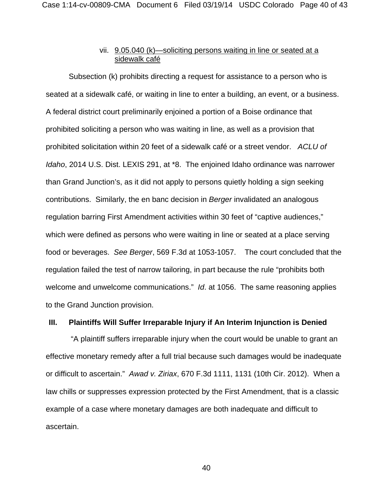## vii. 9.05.040 (k)—soliciting persons waiting in line or seated at a sidewalk café

Subsection (k) prohibits directing a request for assistance to a person who is seated at a sidewalk café, or waiting in line to enter a building, an event, or a business. A federal district court preliminarily enjoined a portion of a Boise ordinance that prohibited soliciting a person who was waiting in line, as well as a provision that prohibited solicitation within 20 feet of a sidewalk café or a street vendor. *ACLU of Idaho*, 2014 U.S. Dist. LEXIS 291, at \*8. The enjoined Idaho ordinance was narrower than Grand Junction's, as it did not apply to persons quietly holding a sign seeking contributions. Similarly, the en banc decision in *Berger* invalidated an analogous regulation barring First Amendment activities within 30 feet of "captive audiences," which were defined as persons who were waiting in line or seated at a place serving food or beverages. *See Berger*, 569 F.3d at 1053-1057. The court concluded that the regulation failed the test of narrow tailoring, in part because the rule "prohibits both welcome and unwelcome communications." *Id*. at 1056. The same reasoning applies to the Grand Junction provision.

## **III. Plaintiffs Will Suffer Irreparable Injury if An Interim Injunction is Denied**

 "A plaintiff suffers irreparable injury when the court would be unable to grant an effective monetary remedy after a full trial because such damages would be inadequate or difficult to ascertain." *Awad v. Ziriax*, 670 F.3d 1111, 1131 (10th Cir. 2012). When a law chills or suppresses expression protected by the First Amendment, that is a classic example of a case where monetary damages are both inadequate and difficult to ascertain.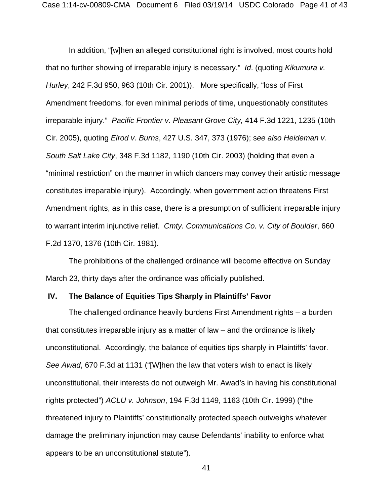In addition, "[w]hen an alleged constitutional right is involved, most courts hold that no further showing of irreparable injury is necessary." *Id*. (quoting *Kikumura v. Hurley*, 242 F.3d 950, 963 (10th Cir. 2001)). More specifically, "loss of First Amendment freedoms, for even minimal periods of time, unquestionably constitutes irreparable injury." *Pacific Frontier v. Pleasant Grove City,* 414 F.3d 1221, 1235 (10th Cir. 2005), quoting *Elrod v. Burns*, 427 U.S. 347, 373 (1976); s*ee also Heideman v. South Salt Lake City*, 348 F.3d 1182, 1190 (10th Cir. 2003) (holding that even a "minimal restriction" on the manner in which dancers may convey their artistic message constitutes irreparable injury). Accordingly, when government action threatens First Amendment rights, as in this case, there is a presumption of sufficient irreparable injury to warrant interim injunctive relief. *Cmty. Communications Co. v. City of Boulder*, 660 F.2d 1370, 1376 (10th Cir. 1981).

The prohibitions of the challenged ordinance will become effective on Sunday March 23, thirty days after the ordinance was officially published.

#### **IV. The Balance of Equities Tips Sharply in Plaintiffs' Favor**

The challenged ordinance heavily burdens First Amendment rights – a burden that constitutes irreparable injury as a matter of law – and the ordinance is likely unconstitutional. Accordingly, the balance of equities tips sharply in Plaintiffs' favor. *See Awad*, 670 F.3d at 1131 ("[W]hen the law that voters wish to enact is likely unconstitutional, their interests do not outweigh Mr. Awad's in having his constitutional rights protected") *ACLU v. Johnson*, 194 F.3d 1149, 1163 (10th Cir. 1999) ("the threatened injury to Plaintiffs' constitutionally protected speech outweighs whatever damage the preliminary injunction may cause Defendants' inability to enforce what appears to be an unconstitutional statute").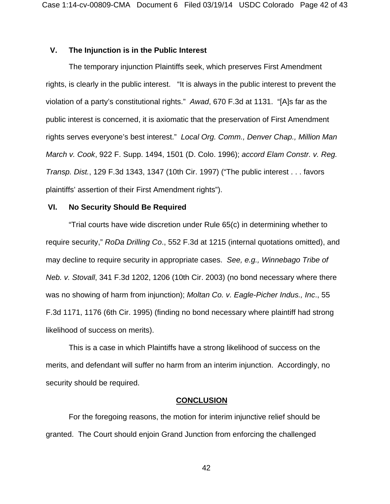## **V. The Injunction is in the Public Interest**

The temporary injunction Plaintiffs seek, which preserves First Amendment rights, is clearly in the public interest. "It is always in the public interest to prevent the violation of a party's constitutional rights." *Awad*, 670 F.3d at 1131. "[A]s far as the public interest is concerned, it is axiomatic that the preservation of First Amendment rights serves everyone's best interest." *Local Org. Comm., Denver Chap., Million Man March v. Cook*, 922 F. Supp. 1494, 1501 (D. Colo. 1996); *accord Elam Constr. v. Reg. Transp. Dist.*, 129 F.3d 1343, 1347 (10th Cir. 1997) ("The public interest . . . favors plaintiffs' assertion of their First Amendment rights").

### **VI. No Security Should Be Required**

 "Trial courts have wide discretion under Rule 65(c) in determining whether to require security," *RoDa Drilling Co*., 552 F.3d at 1215 (internal quotations omitted), and may decline to require security in appropriate cases. *See, e.g., Winnebago Tribe of Neb. v. Stovall*, 341 F.3d 1202, 1206 (10th Cir. 2003) (no bond necessary where there was no showing of harm from injunction); *Moltan Co. v. Eagle-Picher Indus., Inc*., 55 F.3d 1171, 1176 (6th Cir. 1995) (finding no bond necessary where plaintiff had strong likelihood of success on merits).

This is a case in which Plaintiffs have a strong likelihood of success on the merits, and defendant will suffer no harm from an interim injunction. Accordingly, no security should be required.

#### **CONCLUSION**

For the foregoing reasons, the motion for interim injunctive relief should be granted. The Court should enjoin Grand Junction from enforcing the challenged